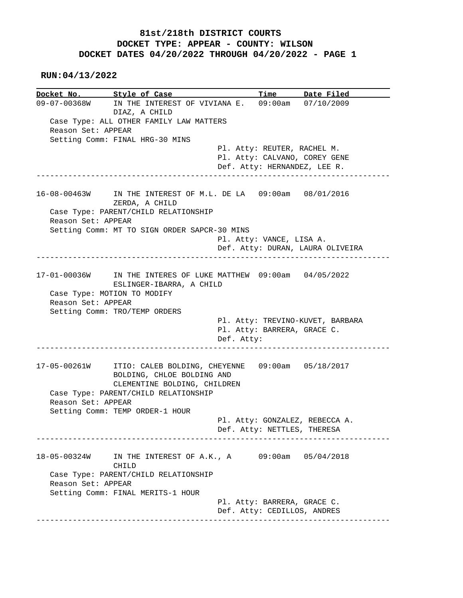## **81st/218th DISTRICT COURTS DOCKET TYPE: APPEAR - COUNTY: WILSON DOCKET DATES 04/20/2022 THROUGH 04/20/2022 - PAGE 1**

 **RUN:04/13/2022**

**Docket No. Style of Case Time Date Filed**  09-07-00368W IN THE INTEREST OF VIVIANA E. 09:00am 07/10/2009 DIAZ, A CHILD Case Type: ALL OTHER FAMILY LAW MATTERS Reason Set: APPEAR Setting Comm: FINAL HRG-30 MINS Pl. Atty: REUTER, RACHEL M. Pl. Atty: CALVANO, COREY GENE Def. Atty: HERNANDEZ, LEE R. ------------------------------------------------------------------------------ 16-08-00463W IN THE INTEREST OF M.L. DE LA 09:00am 08/01/2016 ZERDA, A CHILD Case Type: PARENT/CHILD RELATIONSHIP Reason Set: APPEAR Setting Comm: MT TO SIGN ORDER SAPCR-30 MINS Pl. Atty: VANCE, LISA A. Def. Atty: DURAN, LAURA OLIVEIRA ------------------------------------------------------------------------------ 17-01-00036W IN THE INTERES OF LUKE MATTHEW 09:00am 04/05/2022 ESLINGER-IBARRA, A CHILD Case Type: MOTION TO MODIFY Reason Set: APPEAR Setting Comm: TRO/TEMP ORDERS Pl. Atty: TREVINO-KUVET, BARBARA Pl. Atty: BARRERA, GRACE C. Def. Atty: ------------------------------------------------------------------------------ 17-05-00261W ITIO: CALEB BOLDING, CHEYENNE 09:00am 05/18/2017 BOLDING, CHLOE BOLDING AND CLEMENTINE BOLDING, CHILDREN Case Type: PARENT/CHILD RELATIONSHIP Reason Set: APPEAR Setting Comm: TEMP ORDER-1 HOUR Pl. Atty: GONZALEZ, REBECCA A. Def. Atty: NETTLES, THERESA ------------------------------------------------------------------------------ 18-05-00324W IN THE INTEREST OF A.K., A 09:00am 05/04/2018 CHILD Case Type: PARENT/CHILD RELATIONSHIP Reason Set: APPEAR Setting Comm: FINAL MERITS-1 HOUR Pl. Atty: BARRERA, GRACE C. Def. Atty: CEDILLOS, ANDRES ------------------------------------------------------------------------------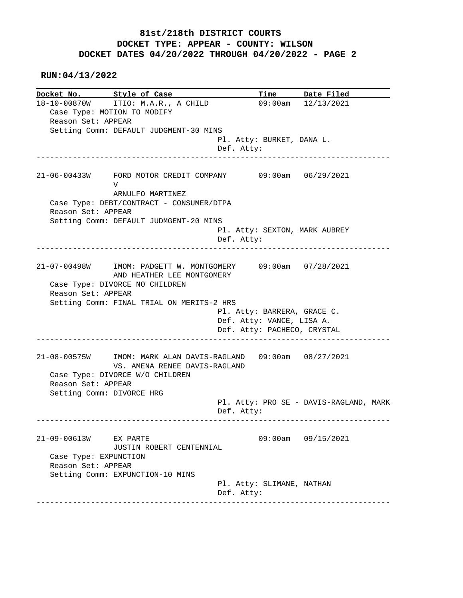## **81st/218th DISTRICT COURTS DOCKET TYPE: APPEAR - COUNTY: WILSON DOCKET DATES 04/20/2022 THROUGH 04/20/2022 - PAGE 2**

 **RUN:04/13/2022**

|                       | Docket No. Style of Case                                                                  |            |                           | Time Date Filed                        |  |
|-----------------------|-------------------------------------------------------------------------------------------|------------|---------------------------|----------------------------------------|--|
|                       | 18-10-00870W ITIO: M.A.R., A CHILD                                                        |            |                           | 09:00am 12/13/2021                     |  |
| Reason Set: APPEAR    | Case Type: MOTION TO MODIFY                                                               |            |                           |                                        |  |
|                       | Setting Comm: DEFAULT JUDGMENT-30 MINS                                                    |            |                           |                                        |  |
|                       |                                                                                           |            | Pl. Atty: BURKET, DANA L. |                                        |  |
|                       |                                                                                           | Def. Atty: |                           |                                        |  |
|                       |                                                                                           |            |                           |                                        |  |
|                       | 21-06-00433W FORD MOTOR CREDIT COMPANY 09:00am 06/29/2021                                 |            |                           |                                        |  |
|                       | V<br>ARNULFO MARTINEZ                                                                     |            |                           |                                        |  |
|                       | Case Type: DEBT/CONTRACT - CONSUMER/DTPA                                                  |            |                           |                                        |  |
| Reason Set: APPEAR    |                                                                                           |            |                           |                                        |  |
|                       | Setting Comm: DEFAULT JUDMGENT-20 MINS                                                    |            |                           |                                        |  |
|                       |                                                                                           |            |                           | Pl. Atty: SEXTON, MARK AUBREY          |  |
|                       |                                                                                           | Def. Atty: |                           |                                        |  |
|                       |                                                                                           |            |                           |                                        |  |
|                       | 21-07-00498W IMOM: PADGETT W. MONTGOMERY 09:00am 07/28/2021<br>AND HEATHER LEE MONTGOMERY |            |                           |                                        |  |
|                       | Case Type: DIVORCE NO CHILDREN                                                            |            |                           |                                        |  |
| Reason Set: APPEAR    | Setting Comm: FINAL TRIAL ON MERITS-2 HRS                                                 |            |                           |                                        |  |
|                       |                                                                                           |            |                           | Pl. Atty: BARRERA, GRACE C.            |  |
|                       |                                                                                           |            | Def. Atty: VANCE, LISA A. |                                        |  |
|                       |                                                                                           |            |                           | Def. Atty: PACHECO, CRYSTAL            |  |
|                       |                                                                                           |            |                           |                                        |  |
| $21 - 08 - 00575W$    | IMOM: MARK ALAN DAVIS-RAGLAND 09:00am 08/27/2021<br>VS. AMENA RENEE DAVIS-RAGLAND         |            |                           |                                        |  |
|                       | Case Type: DIVORCE W/O CHILDREN                                                           |            |                           |                                        |  |
| Reason Set: APPEAR    |                                                                                           |            |                           |                                        |  |
|                       | Setting Comm: DIVORCE HRG                                                                 |            |                           |                                        |  |
|                       |                                                                                           |            |                           | Pl. Atty: PRO SE - DAVIS-RAGLAND, MARK |  |
|                       |                                                                                           | Def. Atty: |                           |                                        |  |
|                       |                                                                                           |            |                           |                                        |  |
| $21 - 09 - 00613W$    | EX PARTE                                                                                  |            | 09:00am                   | 09/15/2021                             |  |
|                       |                                                                                           |            |                           |                                        |  |
|                       | JUSTIN ROBERT CENTENNIAL                                                                  |            |                           |                                        |  |
| Case Type: EXPUNCTION |                                                                                           |            |                           |                                        |  |
| Reason Set: APPEAR    |                                                                                           |            |                           |                                        |  |
|                       | Setting Comm: EXPUNCTION-10 MINS                                                          |            |                           |                                        |  |
|                       |                                                                                           | Def. Atty: | Pl. Atty: SLIMANE, NATHAN |                                        |  |